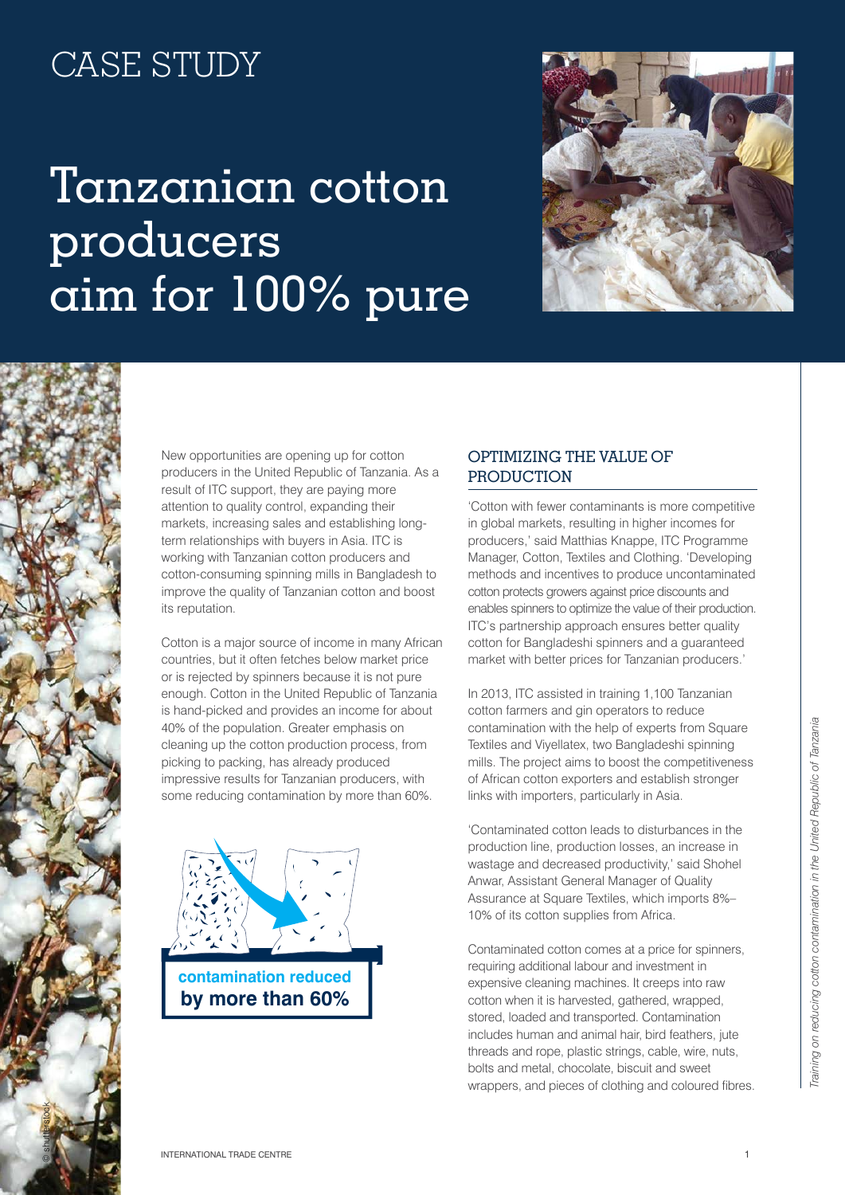## CASE STUDY

## Tanzanian cotton producers aim for 100% pure





New opportunities are opening up for cotton producers in the United Republic of Tanzania. As a result of ITC support, they are paying more attention to quality control, expanding their markets, increasing sales and establishing longterm relationships with buyers in Asia. ITC is working with Tanzanian cotton producers and cotton-consuming spinning mills in Bangladesh to improve the quality of Tanzanian cotton and boost its reputation.

Cotton is a major source of income in many African countries, but it often fetches below market price or is rejected by spinners because it is not pure enough. Cotton in the United Republic of Tanzania is hand-picked and provides an income for about 40% of the population. Greater emphasis on cleaning up the cotton production process, from picking to packing, has already produced impressive results for Tanzanian producers, with some reducing contamination by more than 60%.



## Optimizing the value of **PRODUCTION**

'Cotton with fewer contaminants is more competitive in global markets, resulting in higher incomes for producers,' said Matthias Knappe, ITC Programme Manager, Cotton, Textiles and Clothing. 'Developing methods and incentives to produce uncontaminated cotton protects growers against price discounts and enables spinners to optimize the value of their production. ITC's partnership approach ensures better quality cotton for Bangladeshi spinners and a guaranteed market with better prices for Tanzanian producers.'

In 2013, ITC assisted in training 1,100 Tanzanian cotton farmers and gin operators to reduce contamination with the help of experts from Square Textiles and Viyellatex, two Bangladeshi spinning mills. The project aims to boost the competitiveness of African cotton exporters and establish stronger links with importers, particularly in Asia.

'Contaminated cotton leads to disturbances in the production line, production losses, an increase in wastage and decreased productivity,' said Shohel Anwar, Assistant General Manager of Quality Assurance at Square Textiles, which imports 8%– 10% of its cotton supplies from Africa.

Contaminated cotton comes at a price for spinners, requiring additional labour and investment in expensive cleaning machines. It creeps into raw cotton when it is harvested, gathered, wrapped, stored, loaded and transported. Contamination includes human and animal hair, bird feathers, jute threads and rope, plastic strings, cable, wire, nuts, bolts and metal, chocolate, biscuit and sweet wrappers, and pieces of clothing and coloured fibres.